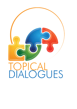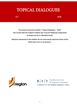# TOPICAL DIALOGUES

N 2 2018

**The present electronic bulletin "Topical Dialogues – 2018" was issued with the support of Black Sea Trust for Regional Cooperation (a project by the G. Marshall Fund).**

**Opinions expressed in this bulletin do not necessarily represent those of the Black Sea Trust or its partners.**



 $\mathbf{B}$   $\mathbf{S}$   $\mathbf{T}$  The Black Sea Trust<br>for Regional Cooperation A PROJECT OF THE GERMAN MARSHALL FUND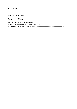#### **CONTENT**

| Dialogue and peace-making Initiatives<br>in the Armenian-Azerbaijani conflict: The Past, |  |
|------------------------------------------------------------------------------------------|--|
|                                                                                          |  |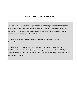### **ONE TOPIC - TWO ARTICLES**

This is the first part of the series of paired analytical articles prepared by Armenian and Azerbaijani authors. The materials were prepared within the framework of the "Public Dialogues for Communication between Armenian and Azerbaijani Specialists" project, implemented by the "Region" Research Center.

The project is supported by the Black Sea Trust for Regional Cooperation, German Marshall Fund.

.

The project partner is the Institute for Peace and Democracy (the Netherlands). The "Public Dialogues" website (www.publicdialogues.info) was created in 2012 by the "Region" Research Center and the Institute for Peace and Democracy which operated in Azerbaijan at the time.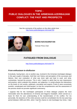## **TOPIC - PUBLIC DIALOGUES IN THE ARMENIAN-AZERBAIJANI CONFLICT: THE PAST AND PROSPECTS**

See the comments of the authors on the other article here <http://www.publicdialogues.info/node/783>



#### **BORIS NAVASARDYAN**

*Yerevan Press Club*

## **FATIGUED FROM DIALOGUE**

<http://www.publicdialogues.info/node/779>

#### *From enthusiasm to disillusion*

Everybody, having been, one or another way, involved in the Armenian-Azerbaijani dialogue in the past couple of decades, hold their own history and perception of the successes and failures, their own evaluation of what was done right and lead to avail, and what, contrariwise, harmed the process. This is why I hasten to admit that my own impressions and practice, which underpin this analysis, are subjective. In certain phases the interactions on the levels of civil society, politicians, journalists and experts (Track-2) were excessively eventful, complicated and multi-faceted, so that the comprehension and the assessment of the process would not provoke significant controversy.

I suppose that for the Azerbaijani participants of these dialogue projects the most memorable were the attendances of Armenia and Nagorno Karabakh, which served as a basis for them for own understanding of the transformation of the conflict. For me personally, the dynamics of the entire process could be consolidated into the two-year-long period between 1999 and 2001, when I had the chance to visit Azerbaijan four times. I later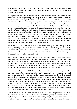paid another visit in 2011, which only reestablished the unhappy inference formed in the course of the previous 10 years, that the irenic potential of Track-2 in the existing political context was exhausted.

My impressions of the first post-soviet visit to Azerbaijan in November 1999, arranged in the framework of the longstanding joint project of two German foundations- Ebert and Naumann, were quite bright: the Armenian group of 8 people had the total freedom to move around without the evident convoy of the special services. (In fact, if it wasn't for the terrorist attack in the Armenian parliament on October 27, the cast of our "assault group" would be much more presentable, including also the vice-chair of the National Assembly.) And even though the troubled situation in Armenia disengaged certain parliament members and highranking officials, who had primarily given willingness to participate, the shifted status of the visitors was almost unreflected on the high level of the hosts foreseen far in advance. The prime-minister, leaders of political parties, far unordinary staff members of the President Administration... And when during the sessions we expressed sorrow that the official Baku did not express condolences to Armenian people in connection with the recent tragedy, which could have, certainly, reformed the climate of the official negotiations, our words were perceived by Azerbaijani counterparts with understanding.

From that very same visit comes to mind the 40-minute-long live interview given to the leading Azerbaijani television channel, which came to be satisfactory not only for the Armenian colleagues, but also the local audience: when the following day our group went to the market in Baku, we were granted the respectful attitude of the merchants, who immediately knew who they are dealing with.

I am bringing up these scenes in order to display the dynamics of the decline in relations. Not more than a year later the TV interview I gave was recorded and, although broadcasted without distortions, increased apprehension could be felt in the conduct and the questions of the journalist. To test the reaction of the audience appeared unfeasible, since at the very moment of arriving at Baku airport it became clear that freedom in moving around and unrestrained communication with the local public should be forgotten about.

A year later, in September 2001, the interactions of the Azerbaijani media representatives covering the visit of the group of journalist from Armenia and Nagorno Karabakh were really serving one sole goal- to demonstrate how meaningless peace-building projects actually were and how the citizens of the Republic of Azerbaijan participating in those projects were deserters of national interests. But how we were escorted exceeded our worst expectations. "Armenian terrorists camouflaged as journalists have visited Baku and holidayed in the best resorts of Azerbaijan"- is what the headline of the article covering our joint seminar in the very modest "Ganjlik" lodging house looked like, positioned at the most observable part of the fairly solid newspaper. The same publication also bestowed "details on the terroristic occupation" of the rather famous journalists taking part in the visit.

The aforesaid, as I see it, covers a rather short period of time- the period lying in between the peak of success of those dialogue projects and the getting rid of illusions that civil diplomacy, in the settlement of the Karabakh conflict, can play a significantly independent role in the process of regulation. The unofficial initiatives proved to be in great dependence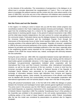on the interests of the authorities. The nonexistence of perspectives in the dialogue on an official level in principle determined the marginalization of Track-2. This is not quite the place to investigate the political nuances and the context why this come about exactly in the years of 1999-2001, but at the very turn of the millennium civil initiatives were annexed with an apathetic-skeptical attitude in Armenia and an aggressive-repressive one in Azerbaijan.

#### *Not the Finns and not the Swedes*

In this regard, it is riveting to come to reason why up until the times certain progress was nevertheless existent in the Track-2 diplomacy between Armenia and Azerbaijan. I think that apart from the smoldering hopes for a chance for the regulation of the conflict there was great interest in resolving specific issues. In the period of national movements in late 1980s and the initial steps towards independence, the main summon for contact was getting rid of the communist empire. Particularly intense was the dialogue between the representatives of the Armenian National Movement and the Azerbaijani Popular Front through the intercession of the democratic forces of other Soviet republics, Baltic ones, in particular. The everyday activities of the editorial staff of the newspaper "Republic of Armenia", established in 1990 by the post-communist parliament of the country, entailed daily telephone interviews between its journalists and eminent Azerbaijani politicians of the new wave, especially when in the neighboring republic events important for the coverage were taking place. With the collapse of the USSR the mutual interest was, indeed, exchanged with animosity between the new authorities.

During the years of the war- 1992-1994, the cooperation between human right defenders on the issues of war prisoners, captives, the search for those gone missing and the retrieval of dead bodies gained considerable relevance. In this stage a great number of Armenian and Azerbaijani non-governmental organizations instituted active cooperation with the International Red Cross and Red Crescent Committee, other international humanitarian missions, as well as the state structures of the two countries. It comes to mind how the Armenian journalists meeting with the Minister of National Security of the Republic of Azerbaijan Namik Abbasov were astounded by his propositions connected with the exchange of information between human right defenders from Armenia and Nagorno Karabakh regarding captives. Quite certainly, the performance of the officials could hardly ever be labelled with sincerity and constructability, but their inescapable cooperation with international organizations and civil activists played a major role in the fate of many people.

Along with practical humanitarian work, in the first half of the 1990s the dialogue on peace between the Armenian and Azerbaijani human rights activists gained significant momentum. The prime event in this process was the Olof Palme's award granted to Arzu Abdullayeva and Anahit Bayandur as respective chairwomen of the Azerbaijani and Armenian chapters of Helsinki Citizens' Assembly in 1992.The evidently "Scandinavian focus" of the activities of the Assembly was exhibited in the presentation to the civil society representatives of the conflicting parties of the model of Aland Swedish autonomy within Finland. Immediately after the war this model was considered by peacemakers as pertinent also for Nagorno Karabakh.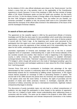By the initiative of HCA, also official individuals were drawn to the "Aland process", but this incited a scene that put a big question mark on the applicability of the Scandinavian experience in South Caucasus. In one of the meetings in 1995, the then minister of foreign affairs of NK Arkadi Ghukasyan spoke out that the model was excellent, but that Azeris were not Finns. To this the deputy minister of foreign affairs of the Republic of Azerbaijan of the time Tofik Zulfugarov responded as follows: "Sure, but neither are you Swedes, our Armenian comrades!" In addition to that, the process itself come to be a precedent which destructed the monopoly of the official sides involved in the deliberations of the future of NK and the Azerbaijani-Armenian relations.

#### *In search of form and content*

The agreement on the ceasefire signed in 1994 by the government officials of Armenia, Azerbaijan and NK flew the doors open for new possibilities which would allow international organizations, contributors and Western NGOs to actualize a vast array of diverse projects in accord with the Track-2 logic. At the beginning such events were perceived by the participants from this region as a mere continuation of war by way of public disputes. They were striving to prove the opponents of their rectitude and of the responsibility they have taken for the conflict, anticipating complete and unconditional capitulation.

Journalists organization of Armenia and Azerbaijan were one of the first to unearth pragmatic forms of cooperation. Understanding that, in spite of the inimical attitudes of the two societies towards one another, their interest in what is happening in the neighboring country is rather immense, they exploited frequent interaction to establish information exchange between mass media. "Internews" organized a series of thematic teleconferences ("TV bridges"), which, though still carried out in the mode of "ideological wrestling", gave the chance to the Armenian and Azerbaijani audiences to learn about the life of their neighbors from "real living people".

Yerevan Press Club and its counterparts in Azerbaijan took advantage of the vigor demonstrated by their countries to extensively blend into the global community, progress determinedly towards the EU membership by fulfilling certain requirements. In this regard mutual interest proposed an exchange of skills in advocating freedom of speech. The second half of the 1990s became the period when the Armenian and Azerbaijani situations in the sphere came near like never before. In Armenia, the rights of journalists and the pluralism of media were better protected, however, in Azerbaijan, especially after the annulment of military censorship and due to international investments, legitimate medium entrepreneurship began to develop.

The discussions of purely journalistic topics not only lead to a refined comprehension of problems, but also taught the participants to show respect to the opinions of opponents. From then on it helped to foster better mutual understanding when addressing issues in connection with the conflict. The same can be related to the projects in other fields, which stimulated professional collaboration and intimate interpersonal connections in the restless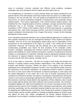arena of contrariety. Common solicitude over different social problems, ecological challenges, later also educational reforms helped see what really unites us.

The strengthening of connections in various thematic fields was largely maintained by the general interest of the international community towards South Caucasus as a unified region, emerged in the mid and late 90s. This was greatly preconditioned by the involvement of USA and EU, as well as of influential companies to infrastructural, more specifically, energy related projects. Civil society organizations, more inclined towards regional layouts, only benefited from this. Tripartite projects (Armenia, Azerbaijan, Georgia) received their largest proliferation due to the "Synergy" ("Cooperation") projects started up by "Eurasia" Foundation in 1997. Thanks to this initiative, dozens of NGOs built expertise in cooperating with partners from other South Caucasus countries. Such kind of immensity in and of itself greatly contributed to the destruction of the "image of the enemy", at least, for the immediate participants of those events.

Such multi-lateral frameworks allowed to also compare differing approaches to conflicts and their possible resolutions for the yet unrecognized Abkhazia, South Ossetia and Nagorno Karabakh. And one of the most advantageous project ideas was the observations of the perspectives for the development of the region as a whole, if the conflict did not hinder cooperation. Moreover, the Armenian side was officially set to give consideration to the corresponding possibilities even before the final resolution of the Karabakh conflict. However, Azerbaijan, anticipating that Armenia's interest in joining regional infrastructure projects will challenge it to make unilateral concessions, insisted on recognizing its territorial integrity as a prerequisite for cooperation. Mutually exclusive approaches gradually reduced the relevance of regional initiatives involving the countries of South Caucasus in both economic and all of the other spheres, including Track-2.

As far as the region is concerned, I will take my courage in both hands and question the efficiency of popular projects among Western organizations in the 1990s that united the Southern and Northern Caucasus. Neither the status of the subjects of this framework (participants from internationally recognized countries, from unrecognized entities and from the autonomies of the Russian Federation), nor positioning oneself in relation to problems (the strive to solve issues within the framework of national sovereignty in some states and the natural dependency on the center, like in the case of Russian autonomies) did not contribute to its efficiency. Besides, the absence of participants representing the all-Russian context in such events unsurprisingly emphasized the artificiality of the format. Nonetheless, their presence would have hardly added to the expediency of those initiatives, since it would have eroded regional identity and made it difficult to find common priorities. The Armenian-Azerbaijani dialogue lost, rather than benefited from the common Caucasian formats, for the specifics and the nuances of the Karabakh conflict, requiring focused attention, were treated extremely superficially, and the assembled assorted audience was seen as the addressee for appealing and reaffirming their correctness. Even though all the positive in interpersonal communication and the constant repetition of mutually acceptable slogans for all that's good and against all that's bad, indeed, strengthened the friendly relations between the participants of such projects, including Armenians and Azerbaijanis, it neither contributed to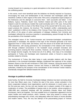moving forward nor to passing on a good atmosphere to the broad circles of the publics of the conflicting parties.

In this sense, much more beneficial were the initiatives not directly imposed on Caucasus, encouraging the study and familiarization of the Armenian and Azerbaijani public with interethnic conflicts in other regions of the world. Films and a comparative expert analysis of the hindrances and the attempts to overcome them - both successful and failed - in the Balkans, Cyprus, Palestine, South Tyrol, Northern Ireland and other parts of the world helped to seek for and discuss models that could eventually work in NK case. And just like in the proposals of the co-chairs of the Minsk Group of the second half of the zeros, also in expert products (for instance, the brochure "The Karabakh conflict: understanding each other", published in 2005 on the initiative of the Yerevan Press Club serving as the fruit of the efforts of the group of active participants of dialogue initiatives from Armenia and Azerbaijan) reflected the enormous expertise in peacekeeping, passed through the filter of the peculiarities of the Karabakh conflict.

The entangled nature of the Turkish-Armenian and Armenian-Azerbaijani contradictions (particularly in Azerbaijan, the rejection of the topic of the Armenian genocide is far more aggressive than in Turkey itself, and Ankara, since the closure of its border with Armenia in 1993 determines, with varying persistence, the normalization of the relations with Yerevan with through unilateral concessions in the Karabakh issue) prompted innovative and promising projects covering the three countries. However, as the positions of the sides of the triangle become tougher, the format lost all of its affinity. And many of its immediate participants in Turkey and Azerbaijan were imprisoned, exiled, or forced to cease their activities related to Armenia.

The involvement of Turkey (the latter being in quite amicable relations with the Baku authorities) in the Armenian-Azerbaijani dialogue conditioned their approval of the contact between citizens of the RA with Armenians in 2001-2004. However, during the period of the intense football diplomacy between Yerevan and Ankara in 2008-2009, The Azerbaijani authorities, irritated by the prospect of the normalization of the Armenian-Turkish relations, dramatically changed their attitude towards the format.

#### *Hostage to political realities*

Quite frankly, the field for Armenian-Azerbaijani dialogic initiatives has been narrowing down for more than fifteen years now. If before the start of the zeros, certain activation in the direct cooperation between local organizations could be witnessed, in recent years, as in the first post-war years, the key role was handed over to players outside of the region to moderators of contact. The possibilities of paying visits to one another, whose programs in 1998-1999 also comprised meetings with the presidents (Heydar Aliyev and Robert Kocharyan), had to be forgotten. The most suitable forms of cooperation appeared to be the expert studies and media products, which, however, have long ceased to convey open peacekeeping messages and, at best, only adequately reflect the history of recent decades and modern realms. Thus, the very last attempt of the peacemaking project of Yerevan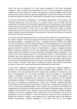Press Club was the glossary (1) of hate speech prepared in 2010 with Azerbaijani colleagues, which comprises recommendations on how to avoid stereotypes irritating the audience on the other side of the conflict. And although in certain journalistic circles of both countries there was an interest in genuinely applying the results of the research in practice, the general tendency to tighten the confrontation of information was immeasurably stronger.

The causes hindering the participation of Azerbaijani organizations in joint projects with Armenian partners are very well known. To a certain extent, they are linked with the weakening of the influence of international organizations on the observance of the principles of democracy and human rights in general. After the swiftworsening of the relations between Russia and the West back in 2013, what is now called "world order" began to change, including the role and the active presence of the Council of Europe and the OSCE in our region. Besides, internal mechanisms of the protection of freedoms and diversity of opinions are far from working in all countries.

In Armenia, where the well-being of the civil society and the media has only improved due to the "velvet revolution" of 2018, the absence of the former interest in engaging in a dialogue with flawed neighbors - Azerbaijan and Turkey - is dictated by the lack of faith in the realism of mutual compromises and the widespread belief in the meaninglessness of conversation from the standpoint of values and principles. If in 2004, even against the background of the general resentment towards the deeds of Ramil Safarov, a group of leading Armenian NGOs resolutely condemned (2) the racist statements regarding the entire Azerbaijani people made by two politicians, now they would have hardly been paid any attention to. The voices of the critics speaking about the "unconstructive politics" of their authorities in the Karabakh issue have practically been completely silenced. And not really because of the fear of something, but because such criticism does not receive any proper response from the society and immediately discredits itself by the association with propaganda initiatives such as "Baku", and later "Tbilisi" types of "platforms of peace" (their dubious manipulative character is seen even in quite well-intentioned publications (3) about them).

A crisis with a regulation of interethnic conflicts and simply with a peaceful dialogue is inherent in the entire post-Soviet space. However, its depth is always different. As for me, the attitude of the non-governmental sector towards the possibility of securing the same kind of representatives of civil society, journalists living and working in unrecognized entities, is indicative in this sense. After all, without them it would be impossible to run serious talks about strengthening the measures of trust necessary for the peaceful overcoming of conflicts. At the Eastern Partnership Civil Society Forum (CSF), in particular, the issue of providing an opportunity for NGOs from Abkhazia, Nagorno-Karabakh, Transnistria and South Ossetia to participate in CSF events is raised almost annually. This is by no means about displaying flags or other symbols, but only about the participation of organizations from territories formally included in the Eastern Partnership region, the nearby neighbor of the European Union. However, every time this possibility is denied. Moldovan members of the forum, regardless of this, include NGOs from Transnistria in the list of the participants on their own initiative. To them this seems as natural as the free movement of people from Chisinau to Tiraspol, or the matches of the Transnistrian teams in the Moldovan football championship. Georgian colleagues do not really mind, but do not imagine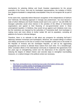mechanisms for selecting Abkhaz and South Ossetian organizations for the annual assembly of the Forum. And only for Azerbaijani representatives, the invitation of NGOs from Nagorno-Karabakh is categorically unacceptable if they do not recognize NK as part of the AR.

At the same time, especially before Moscow's recognition of the independence of Sukhumi and Tskhinvali, the following approach in Georgia was predominant: "we must become a state of which Abkhazia and South Ossetia would want to be a part of." Up until 2008, the Georgian authorities would show interest in the activities of the offices of international organizations and agreed to their financing of non-governmental sector in these unrecognized republics. In Moldova, they would not go against such initiatives even now, but the restrictions are imposed by the authorities of Transnistria itself. And Azerbaijan is making more and more efforts to further isolate NK and its population, excluding all platforms for formal or informal dialogue.

Therefore, there is no rationale to talk about any prospects for activating theTrack-2 diplomacy between Armenians and Azerbaijanis. Moreover, the constant killings of civilians and military servicemen on the line of contact of the Karabakh conflict and on the border of the Republic of Armenia and the Azerbaijani Republic, as well as the aggravating propaganda war continue to alienate these nations from each other. For a breakthrough, either consistent efforts of the international community to implement the agreements from two years ago on strengthening control over the observance of the cease-fire regime, reducing the degree of militant rhetoric and concrete steps to strengthen trust-building measures, or a radical change in the political context are necessary.

#### *Notes*

- 1. [http://ypc.am/studies/cross-monitoring-inaccurate-information-cliches-and](http://ypc.am/studies/cross-monitoring-inaccurate-information-cliches-and-stereotypes-in-online-media-of-azerbaijan-and-armenia/)[stereotypes-in-online-media-of-azerbaijan-and-armenia/](http://ypc.am/studies/cross-monitoring-inaccurate-information-cliches-and-stereotypes-in-online-media-of-azerbaijan-and-armenia/)
- 2. [http://ypc.am/2004/03/?bulletin\\_id=40773&lang=en](http://ypc.am/2004/03/?bulletin_id=40773&lang=en)
- 3. <http://www.kavkaz-uzel.eu/articles/317673/>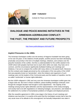

**ARIF YUNUSOV**

*Institute for Peace and Democracy*

## **DIALOGUE AND PEACE-MAKING INITIATIVES IN THE ARMENIAN-AZERBAIJANI CONFLICT: THE PAST, THE PRESENT AND FUTURE PROSPECTS**

<http://www.publicdialogues.info/node/778>

#### *Implicit Pressures in the 1990s*

The Armenian-Azerbaijani conflict over the territory of Nagorno Karabakh has been going on for over 30 years. In the relations of both peoples, another process has been developing practically concurrently in the form of multiple meetings, initiatives, and contacts over the peaceful resolution of the conflict. And this is understandable for the conflict started in the USSR where both peoples had lived next to each other within one state, they had a lot in common, and this circumstance significantly facilitated holding such meetings and initiatives, if we are to compare this conflict with many others on the planet Earth. Moreover, the first contacts were largely perceived as the continuation of the new policy of the USSR that was popularly known as "perestroika", when the initiators and organizers of such meetings were not the leaders of the Communist party and the leaders of republics, but the so-called "nonformals" or human rights defenders.

But the USSR collapsed in 1991 and very soon the Armenian-Azerbaijani conflict grew into a large-scale war. But even in these conditions, peace-building meetings continued, even though the changed situation had brought in some adjustments – the majority of the meetings among human rights defenders and the representatives of the newly-emerging civil society had to do with negotiations on releasing hostages, war prisoners, and related to the settlement of a number of humanitarian problems of refugees and displaced persons.

After the ceasefire agreement in 1994 a new stage in the history of such meetings and initiatives was launched. It is exactly at this point that the Azerbaijani society had to face the very acute issue of its attitude to the unrecognized, but factually independent new state in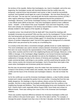the territory of the republic. Before that Azerbaijanis, too, lived in Karabakh, and at the very beginning, the Azerbaijani society still cherished illusions that the conflict was only temporary, external forces had provoked it and sooner or later it would be successfully resolved, and Karabakh would again be a part of Azerbaijan. But now these illusions are left in the past. The war was lost, and along with the former autonomous territory (ATNK) 7 other regions adhering to Nagorno Karabakh appeared beyond the jurisdiction of Azerbaijan. Moreover, in the former Azerbaijani territory a new statehood formed which bore a new official name (NKR) at that time. Over time Azerbaijanis started to hear a different name – Artsakh – in the stead of the usual "Karabakh" more and more frequently. In fact, there were already no Azerbaijanis in the territory beyond Baku's control. These people already resided in other regions of the republic as refugees.

A question arose: how should all of this be dealt with? How should the meetings with Karabakh Armenians be perceived? Who are they now for the Azerbaijanis? Former citizens who had temporarily got beyond control and attempts should be made to return them in some way or other under the control of Baku again? Or should they be recognized as citizens of another independent state? And all of this against the background of a dramatic defeat which was perceived by the society as a humiliating fact.

It is exactly at this time when a movement emerged, globally known as "public diplomacy." This word combination was used to denote contacts between Armenians and Azerbaijanis that were not usual, because the representatives of the conflicting peoples live together in many other countries and first of all in the neighboring Russia and Georgia. Moreover, in the 1990s in Georgia, in the Azerbaijani village Sadakhlo a non-formal Armenian-Azerbaijani market (bazar) emerged that was attended not only by the inhabitants of many other settlements in Georgia, but also by the citizens of Armenia and Azerbaijan. The parties made commercial deals, sold things to one another, and this would bring the goods of the other, enemy country into Armenia and Azerbaijan. And in Russia there were quite a few cases when Azerbaijanis and Armenians jointly led a business.

But this was not perceived negatively, since the matter here was business as well as contacts in the territory of other states and, besides, they did not relate to the Karabakh conflict and the future of the Armenian and Azerbaijani relations. One did not hinder the other.

As for the conflict per se and the Armenian-Azerbaijani relations, a clear frontline already existed and it clearly separated the parties from one another. Crossing that front line was fatally dangerous. No meetings or trips by ordinary citizens across the frontline were possible. And this is what made the Karabakh conflict different from the conflicts in the neighboring Georgia and Moldova. They had peacekeeping forces and checkpoints, but no front. Citizens there could, especially before August 2008, move freely and contact on different levels. There was nothing even close to this in the Armenian and Azerbaijani relations.

There was another important difference between the Armenian-Azerbaijani conflict and other conflicts in the post-Soviet space – the role of the state in all this. For example, in Georgia the power changed more than once in the last 2 decades, but their attitude to the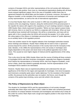contacts of Georgian NGOs and other representatives of the civil society with Abkhazians and Ossetians was positive. Even more so, international organizations dealing with all these issues enjoyed significant support. But in the case of Karabakh conflict there was no agreement between the official Baku and the leaders of Armenia, moreover, the leaders of Nagorno Karabkh, on the mandate of the involvement of Armenian and Azerbaijani civil society representatives, as well as the role of international organizations.

It is true that Heydar Aliyev who came to power in 1993 was not publicly against such contacts at the very beginning. However, along the reinforcement of his personal power in the republic the stance with regard to the expediency of such meetings started to change. In 1999 Heydar Aliyev clearly expressed his position: "Before we have signed a peace treaty with Armenia, there is no need for our NGOs to cooperate with Armenians. When we have this political issue resolved with Kocharyan, this will be a compromise, and many will not agree with it, this is exactly when the NGOs will reconcile the peoples."(1) In other words, the ruling regime of the Aliyevs in Azerbaijan perceived these contacts of "public diplomacy" as an auxiliary factor in the regulation process.

There was another reason for the negative attitude of the Azerbaijani authorities towards these meetings and initiatives. Heydar Aliyev initially did not want to have a "grassroot" process beyond his control. All the processes in the country had to be the monopoly of the state. Besides, in the 1990s the representatives of the civil society in Azerbaijan were largely dependent on the power and stood close to the political opposition due to their views. This caused an even higher degree of mistrust and the apprehensions of the ruling regime.

This is why since the late 1990s Heydar Aliyev took the course of limiting all these contacts of Azerbaijani NGOs with their Armenian counterparts, especially from Nagorno Karabakh. And if before the representatives of Armenian NGOs, also from Nagorno Karabakh, could arrive in Baku, these trips started to gradually decrease. And the representatives of the Azerbaijani NGOs started to be intimidated.

However, Heydar Aliyev was an experienced politician and understood the role and significance of the West for the region and especially for Azerbaijan. And since Europeans and Americans constantly spoke about "public diplomacy" for the resolution of the Karabh conflict, the pressure by the authorities was not explicit. And hence, even though the contacts of the parties kept shrinking, some work did unfold in this direction.

#### *The Policy of Repressions by Ilham Aliyev*

The situation for Azerbaijani NGOs and the representatives of civil society changed noticeably after Ilham Aliyev took office in 2003. Unlike his father who somehow perceived the existence of contacts between Armenians and Azerbaijanis and wished only to keep all this under his control, Ilham Aliyev took a tough and negative position in this issue from the very beginning.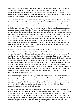During his term in office, all communication with Armenians was declared to be the job of "the enemies of the Azerbaijani people" and respectively was evaluated as "betrayal of national interests." All activists of the civil society, who collaborated with colleagues from Armenia and Nagorno Karabakh within the framework of "public diplomacy", were subjected to very strong pressure explicitly applied by the authorities.

As a result, the authorities of Azerbaijan scared many representatives of local NGOs, and the latter started to refuse from not only trips to Armenia and Nagorno Karabakh, but also any form of joint projects. Fear crawled into the hearts of many Azerbaijanis. The number of those who wished to play the part of "traitors" and "supporters of Armenian aggressors" was shrinking more and more. This could be accounted for by the fact that besides aggressive campaigns by mass media and on TV, by means of groups of "patriots" fully controlled by the authorities, the latter organized direct attacks on the offices of those NGOs and persons who agreed to collaborate with Armenian colleagues. It was very hard to withstand such a powerful pressure. The already scarce resource was quickly depleting. As a result, even those who agreed to travel to Armenia asked not to promote their participation in conferences and meetings so that they could return to Azerbaijan without any problem. Unlike traditional diplomacy, all measures of "public diplomacy" must be transparent. It is exactly at that time that the ironic term of "secret public diplomacy" started to be applied about these persons' trips to Armenia.

International organizations immediately readjusted themselves and started to take into account the positions of Azerbaijani authorities. Currently meetings among the representatives of the public started to be held in Georgia, Russia and other countries. For a number of years by the initiative and with the financial support of the American Kettering Foundation and the Russian Center of Strategic and Political Research in Snegiri, meetings among the representatives of the Armenian and Azerbaijani civil society were held within the framework of Dartmouth conference. For six years (2001 – 2007) they would seriously discuss various models of conflict resolution like diplomats. Later, in 2004 – 2014 it was already the turn of Helsinki Citizens' Assembly which already in Helsinki (Finland) organized a series of Armenian-Azerbaijani discussions on the so-called "Aland model" of the conflict resolution within the framework of the so-called "Independent Civil Minsk Process on Karabakh Conflict Resolution." (2)

It would be all right if it were not starkly evident that practically the same small number of people engaged from both parties would travel back and forth from one capital to the other and asked issues related to the resolution. It is even more surprising that often the same participants supported the idea of the meetings and the proposals voiced there when they were not in their motherlands, whereas at home they turned into patriots and spoke categorically against peace-building ideas (3).

In other words, the phenomenon that was named "public diplomacy" within the Armenian-Azerbaijani conflict with great pathos, in fact was a profanation of the idea. The vast majority of the population in Azerbaijan did not know anything about these meetings and issues discussed there at all. Practically, the same can be said with regard to the awareness level of the population in Armenia and Nagorno Karabakh. An absurd situation emerged; the wide circles of the population in Azerbaijan, Armenia and Nagorno Karabakh had much more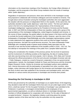information on the closed-door meetings of the Presidents, the Foreign Affairs Ministers of Azerbaijan, and the proposals of the Minsk Group mediators than the results of meetings within "public diplomacy."

Regardless of repressions and pressure, there were still NGOs in the Azerbaijani society that proposed to collaborate with Armenian colleagues and even traveled to Armenia. This brought about serious frustration among the Azerbaijani authorities who even aggravated the situation with the pressure on independent NGOs in the republic. At the same time, the authorities decided to take "public diplomacy" under their control. The first such attempt came in the form of a meeting between the "representatives of the Armenian and Azerbaijani intelligentsia" organized jointly by the President of Armenia and the Russian side. In 2007 and 2009 the Ambassadors of these two republics, jointly with a group of the representatives of the Azerbaijani intelligentsia, visited Nagorno Karabakh and Armenia. In the course of these meetings, the parties talked a lot about peace in the future and the need to exclude the forceful settlement of the Karabakh conflict. However, upon the return of the Ambassador of Azerbaijan Polad Bülbüloğlu and other Azerbaijani representatives started to make statements from aggressive positions that could not help but trigger frustration among Armenians. And later this would become recurrent. The same Ambassador Polad Bülbüloğlu who constantly spoke of peace would similarly freely speculate over the necessity of war and the forceful settlement of the Karabkh conflict in 2016 – 2017 (4). The first attempt to monopolize the meetings of the public from 2 peoples failed back then.

Taking into consideration the mistakes of the previous period, the low level of awareness and the involvement of conflicting societies at the beginning, the idea of creating shared web sites was becoming more and more popular. And in January, 2013, Baku and Yerevan witnessed the official presentations of the first and only joint Azerbaijani-Armenian web site – Public Dialogues, created as a result of long-term cooperation of two non-governmental organizations, namely, the Azerbaijani Institute for Peace and Democracy and the Armenian Region Research Center. Articles by Armenian and Azerbaijani authors were published here, Internet discussions with the participation of specialists from other countries, video bridges, online interviews with foreign figures for the Armenian and Azerbaijani mass media, the texts of which were later published in the Armenian and Azerbaijani press, and video materials on various events and processes in Azerbaijan and Armenia were posted.

#### *Smashing the Civil Society in Azerbaijan in 2014*

All this was perceived by the authorities of Azerbaijan as an explicit threat. At the beginning, they decided to deal with the Azerbaijani NGOs that were not yet under legal control. In May 2013, a draft law named "On the Occupied Territories of Azerbaijan" was submitted to the Parliament. In particular, it envisaged criminal liability for the employees of nongovernmental organizations, as well as individual citizens in Azerbaijan (besides the members of official delegations) for cooperation with Armenia "for the sake of liberation of occupied territories". However, this legislative initiative could bring about the acutely negative reaction of the West and that is why the authorities not only ceased the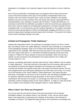preparation to its adoption, but in general, began to deny the existence of such a draft law (5)!

But in 2014 the authorities in Azerbaijan gave up all games with the West and took the course of the final resolution of the issue on the activities of independent NGOs and activists of the civil society. During this year a wave of arrests unfolded in the republic, leading to the arrest of many activists of the civil society who actively cooperated (IPD) or had participated in joint meetings or projects with Armenians. Though with bitterness, it is necessary to admit that the authorities succeeded to solve the issue that was unpleasant to them and to clear the stage from all independent participants of suchlike meetings from the Azerbaijani side. It is true that there was still a political opposition in the republic, journalists and the survived representatives of NGOs are desperately struggling. But there is no more ground to speak about meetings and joint projects with Armenians. This period in the history of post-Soviet Azerbaijan belongs to the past.

#### *Imitated and Propaganda "Public Diplomacy"*

Dealing with independent NGOs, the authorities of Azerbaijan moved on to Part 2 of their plan, according to which now "public diplomacy" should be used maximally as a component of the propaganda campaign. Quite a lot of means were allocated from the budget for the organization of this campaign. After that some time was spent on the search for Armenians, who were ready to take part in it. In December 2016 Baku pompously announced of the creation of "Platform for Peace between Armenia and Azerbaijan" which not only had a website, but also Armenians who participated in the project started to live in Baku and received salary for it. (6)

However, immediately afterwards it became clear that this "Peace Platform" had no relation to "public diplomacy". Those who took part in the project from the Armenian side turned out not residents of Armenia and Nagorno Karabakh, but Armenians who resided in CIS countries and Sweden who agreed to take part in the project for financial reasons. But very soon disagreements arose among the participants from both sides over money. As a result, one of the founders of the "Peace Platform" Vahan Martirosyan, who before that gave interviews in Azerbaijan on the horrors of life in Armenia, was now fleeing Azerbaijan and in his speeches started to provide thorough description on the reasons of financial machinations that had led to his escape. (7) And though even after this the Azerbaijani authorities continue imitating activity on this "Peace Platform", in reality it is clear that all this has no relation to the resolution of the Karabakh conflict or "public diplomacy."

#### *What is Next? Are There any Prospects?*

As it can be seen from the brief overview of the past and present of the Armenian-Azerbaijani relations, the situation today is very dramatic. In fact, now we cannot speak about a real opportunity of organizing such meetings of the parties in the territories of Azerbaijan or Armenia. This happened largely because of the authorities of Azerbaijan who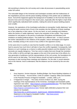did everything to destroy the civil society and to take all processes in peacebuilding sector under full control.

The noticeable fatigue of the Armenian and Azerbaijani societies with the fruitlessness of the negotiations process and the peace-building meetings of the parties was an additional factor. And all this happened against the background of hostilities on the front line that have become more and more frequent in the recent years, especially after the fights in April 2016, which significantly radicalized both societies, making the arena for peace-building projects even smaller.

However, the aspirations of the Azerbaijani authorities to monopolize "public diplomacy" and turning the quite common lack of trust in the societies into the efficiency of these meetings are in fact subjective in their nature. On the one hand, no such meetings and initiatives within the frames of "public diplomacy" lead to the resolution of the conflict. They cannot substitute for real players in the person of authorities (Presidents and Ministers) and mediators as leading political players. This toolkit has a different task – to help to prevent the further radicalization in the relations of the peoples, reduce stereotypes and negative views, inevitably arising in the course of any conflict in the opponent country.

At the same time it is worthy to note that the Karabkh conflict is in its initial stage. It is even hard to assume how much time it will take to have the conflict regulated. Consequently, both illusions on such meetings as a chance to settle peaceful relations and the disbelief in their necessity are equally dangerous. Time has come to realize that even though the resolution of the conflict is still far and light may appear at the end of the tunnel due to the efforts of a new generation of politicians and the representatives of the civil society, the foundations for all this need to be laid today. The former failures should not lead to pessimism and it is necessary to start reviving these meetings and initiatives. For the start, in social networks and on the Internet. And to understand, that the distance can be covered by the one who walks.

#### *Notes*

- 1. Avaz Hasanov, Armine Iskanyan. Building Bridges: the Peace-Building Initiatives of the Civil Society. – *Accord* Series. Limits of Leaders' Capacity: Elites and Societies in the Peaceful Process of Nagorno Karabakh. - London, 2005, p.47.
- 2. It Happened in Snegiri. The *Golos Armenii* of March 18, 2004. During the meetings of the representatives of the Armenian, Azerbaijani and Karabakh public, regression was noted. - [https://regnum.ru/news/polit/932590.html;](https://regnum.ru/news/polit/932590.html) The Aland Model is practically inapplicable to Nagorno Karabakh [https://regnum.ru/news/514112.html;](https://regnum.ru/news/514112.html) Human rights defenders propose their own solution for Karabakh[http://news.bbc.co.uk/hi/russian/in\\_depth/newsid\\_3906000/3906993.stm;](http://news.bbc.co.uk/hi/russian/in_depth/newsid_3906000/3906993.stm) A Statement on the Nagorno Karabakh Conflict - [http://www.aravot](http://www.aravot-ru.am/2014/11/13/184697/)[ru.am/2014/11/13/184697/](http://www.aravot-ru.am/2014/11/13/184697/)